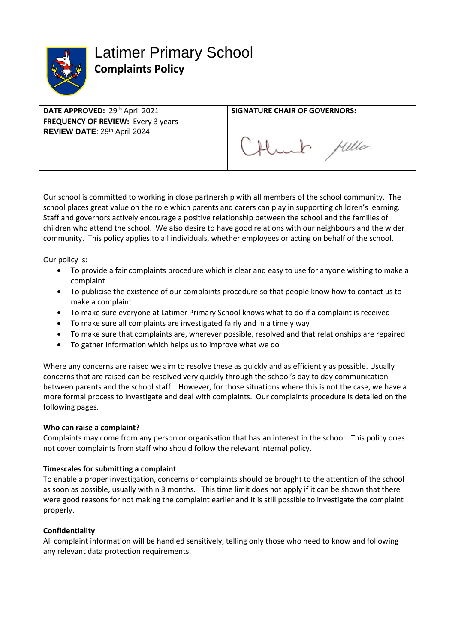

Latimer Primary School **Complaints Policy** 

| DATE APPROVED: 29th April 2021            | <b>SIGNATURE CHAIR OF GOVERNORS:</b> |
|-------------------------------------------|--------------------------------------|
| <b>FREQUENCY OF REVIEW: Every 3 years</b> |                                      |
| REVIEW DATE: 29th April 2024              |                                      |
|                                           | Millo.                               |

Our school is committed to working in close partnership with all members of the school community. The school places great value on the role which parents and carers can play in supporting children's learning. Staff and governors actively encourage a positive relationship between the school and the families of children who attend the school. We also desire to have good relations with our neighbours and the wider community. This policy applies to all individuals, whether employees or acting on behalf of the school.

Our policy is:

- To provide a fair complaints procedure which is clear and easy to use for anyone wishing to make a complaint
- To publicise the existence of our complaints procedure so that people know how to contact us to make a complaint
- To make sure everyone at Latimer Primary School knows what to do if a complaint is received
- To make sure all complaints are investigated fairly and in a timely way
- To make sure that complaints are, wherever possible, resolved and that relationships are repaired
- To gather information which helps us to improve what we do

Where any concerns are raised we aim to resolve these as quickly and as efficiently as possible. Usually concerns that are raised can be resolved very quickly through the school's day to day communication between parents and the school staff. However, for those situations where this is not the case, we have a more formal process to investigate and deal with complaints. Our complaints procedure is detailed on the following pages.

#### **Who can raise a complaint?**

Complaints may come from any person or organisation that has an interest in the school. This policy does not cover complaints from staff who should follow the relevant internal policy.

#### **Timescales for submitting a complaint**

To enable a proper investigation, concerns or complaints should be brought to the attention of the school as soon as possible, usually within 3 months. This time limit does not apply if it can be shown that there were good reasons for not making the complaint earlier and it is still possible to investigate the complaint properly.

#### **Confidentiality**

All complaint information will be handled sensitively, telling only those who need to know and following any relevant data protection requirements.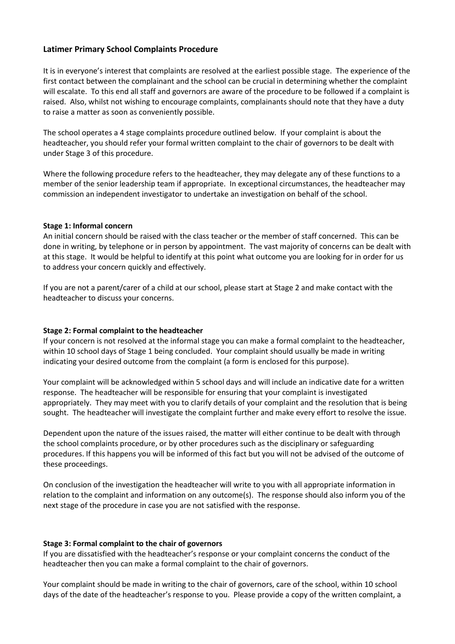# **Latimer Primary School Complaints Procedure**

It is in everyone's interest that complaints are resolved at the earliest possible stage. The experience of the first contact between the complainant and the school can be crucial in determining whether the complaint will escalate. To this end all staff and governors are aware of the procedure to be followed if a complaint is raised. Also, whilst not wishing to encourage complaints, complainants should note that they have a duty to raise a matter as soon as conveniently possible.

The school operates a 4 stage complaints procedure outlined below. If your complaint is about the headteacher, you should refer your formal written complaint to the chair of governors to be dealt with under Stage 3 of this procedure.

Where the following procedure refers to the headteacher, they may delegate any of these functions to a member of the senior leadership team if appropriate. In exceptional circumstances, the headteacher may commission an independent investigator to undertake an investigation on behalf of the school.

## **Stage 1: Informal concern**

An initial concern should be raised with the class teacher or the member of staff concerned. This can be done in writing, by telephone or in person by appointment. The vast majority of concerns can be dealt with at this stage. It would be helpful to identify at this point what outcome you are looking for in order for us to address your concern quickly and effectively.

If you are not a parent/carer of a child at our school, please start at Stage 2 and make contact with the headteacher to discuss your concerns.

# **Stage 2: Formal complaint to the headteacher**

If your concern is not resolved at the informal stage you can make a formal complaint to the headteacher, within 10 school days of Stage 1 being concluded. Your complaint should usually be made in writing indicating your desired outcome from the complaint (a form is enclosed for this purpose).

Your complaint will be acknowledged within 5 school days and will include an indicative date for a written response. The headteacher will be responsible for ensuring that your complaint is investigated appropriately. They may meet with you to clarify details of your complaint and the resolution that is being sought. The headteacher will investigate the complaint further and make every effort to resolve the issue.

Dependent upon the nature of the issues raised, the matter will either continue to be dealt with through the school complaints procedure, or by other procedures such as the disciplinary or safeguarding procedures. If this happens you will be informed of this fact but you will not be advised of the outcome of these proceedings.

On conclusion of the investigation the headteacher will write to you with all appropriate information in relation to the complaint and information on any outcome(s). The response should also inform you of the next stage of the procedure in case you are not satisfied with the response.

#### **Stage 3: Formal complaint to the chair of governors**

If you are dissatisfied with the headteacher's response or your complaint concerns the conduct of the headteacher then you can make a formal complaint to the chair of governors.

Your complaint should be made in writing to the chair of governors, care of the school, within 10 school days of the date of the headteacher's response to you. Please provide a copy of the written complaint, a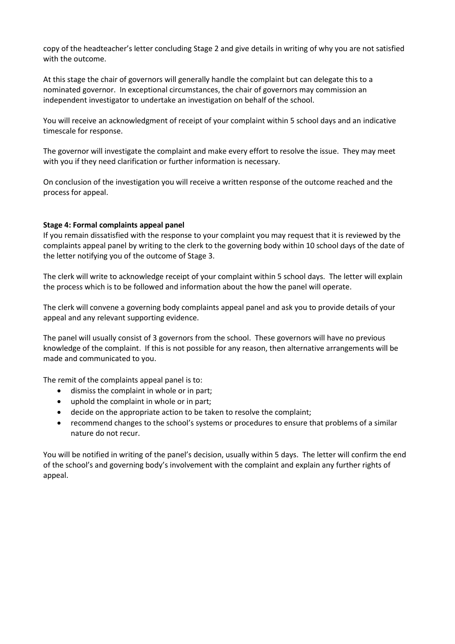copy of the headteacher's letter concluding Stage 2 and give details in writing of why you are not satisfied with the outcome.

At this stage the chair of governors will generally handle the complaint but can delegate this to a nominated governor. In exceptional circumstances, the chair of governors may commission an independent investigator to undertake an investigation on behalf of the school.

You will receive an acknowledgment of receipt of your complaint within 5 school days and an indicative timescale for response.

The governor will investigate the complaint and make every effort to resolve the issue. They may meet with you if they need clarification or further information is necessary.

On conclusion of the investigation you will receive a written response of the outcome reached and the process for appeal.

## **Stage 4: Formal complaints appeal panel**

If you remain dissatisfied with the response to your complaint you may request that it is reviewed by the complaints appeal panel by writing to the clerk to the governing body within 10 school days of the date of the letter notifying you of the outcome of Stage 3.

The clerk will write to acknowledge receipt of your complaint within 5 school days. The letter will explain the process which is to be followed and information about the how the panel will operate.

The clerk will convene a governing body complaints appeal panel and ask you to provide details of your appeal and any relevant supporting evidence.

The panel will usually consist of 3 governors from the school. These governors will have no previous knowledge of the complaint. If this is not possible for any reason, then alternative arrangements will be made and communicated to you.

The remit of the complaints appeal panel is to:

- dismiss the complaint in whole or in part;
- uphold the complaint in whole or in part;
- decide on the appropriate action to be taken to resolve the complaint;
- recommend changes to the school's systems or procedures to ensure that problems of a similar nature do not recur.

You will be notified in writing of the panel's decision, usually within 5 days. The letter will confirm the end of the school's and governing body's involvement with the complaint and explain any further rights of appeal.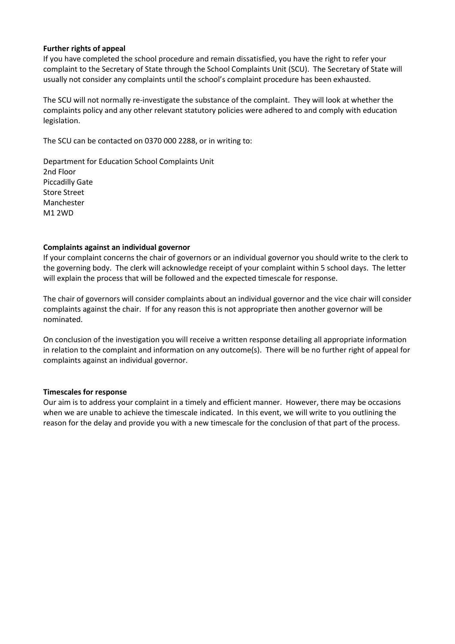#### **Further rights of appeal**

If you have completed the school procedure and remain dissatisfied, you have the right to refer your complaint to the Secretary of State through the School Complaints Unit (SCU). The Secretary of State will usually not consider any complaints until the school's complaint procedure has been exhausted.

The SCU will not normally re-investigate the substance of the complaint. They will look at whether the complaints policy and any other relevant statutory policies were adhered to and comply with education legislation.

The SCU can be contacted on 0370 000 2288, or in writing to:

Department for Education School Complaints Unit 2nd Floor Piccadilly Gate Store Street Manchester M1 2WD

## **Complaints against an individual governor**

If your complaint concerns the chair of governors or an individual governor you should write to the clerk to the governing body. The clerk will acknowledge receipt of your complaint within 5 school days. The letter will explain the process that will be followed and the expected timescale for response.

The chair of governors will consider complaints about an individual governor and the vice chair will consider complaints against the chair. If for any reason this is not appropriate then another governor will be nominated.

On conclusion of the investigation you will receive a written response detailing all appropriate information in relation to the complaint and information on any outcome(s). There will be no further right of appeal for complaints against an individual governor.

#### **Timescales for response**

Our aim is to address your complaint in a timely and efficient manner. However, there may be occasions when we are unable to achieve the timescale indicated. In this event, we will write to you outlining the reason for the delay and provide you with a new timescale for the conclusion of that part of the process.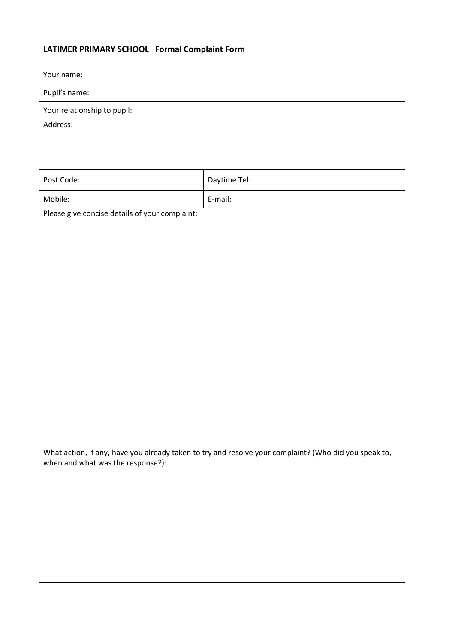# **LATIMER PRIMARY SCHOOL Formal Complaint Form**

| Your name:                                     |                                                                                                       |
|------------------------------------------------|-------------------------------------------------------------------------------------------------------|
| Pupil's name:                                  |                                                                                                       |
| Your relationship to pupil:                    |                                                                                                       |
| Address:                                       |                                                                                                       |
|                                                |                                                                                                       |
|                                                |                                                                                                       |
| Post Code:                                     | Daytime Tel:                                                                                          |
| Mobile:                                        | E-mail:                                                                                               |
| Please give concise details of your complaint: |                                                                                                       |
|                                                |                                                                                                       |
|                                                |                                                                                                       |
|                                                |                                                                                                       |
|                                                |                                                                                                       |
|                                                |                                                                                                       |
|                                                |                                                                                                       |
|                                                |                                                                                                       |
|                                                |                                                                                                       |
|                                                |                                                                                                       |
|                                                |                                                                                                       |
|                                                |                                                                                                       |
|                                                |                                                                                                       |
|                                                |                                                                                                       |
|                                                | What action, if any, have you already taken to try and resolve your complaint? (Who did you speak to, |
| when and what was the response?):              |                                                                                                       |
|                                                |                                                                                                       |
|                                                |                                                                                                       |
|                                                |                                                                                                       |
|                                                |                                                                                                       |
|                                                |                                                                                                       |
|                                                |                                                                                                       |